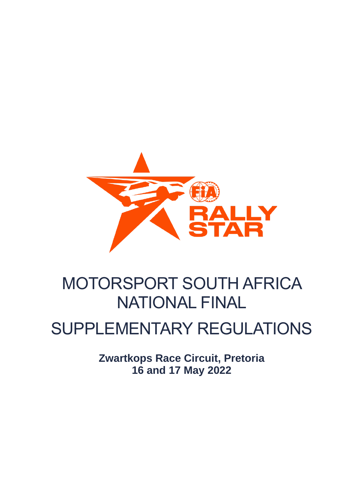

# MOTORSPORT SOUTH AFRICA NATIONAL FINAL

## SUPPLEMENTARY REGULATIONS

**Zwartkops Race Circuit, Pretoria 16 and 17 May 2022**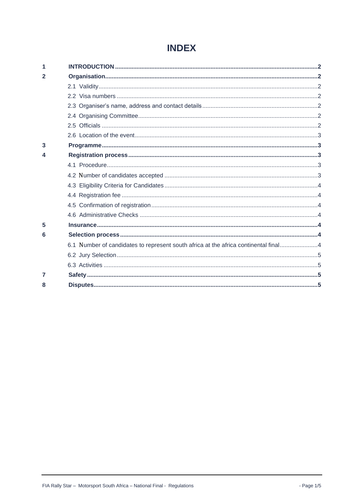## **INDEX**

| 1 |                                                                                     |  |
|---|-------------------------------------------------------------------------------------|--|
| 2 |                                                                                     |  |
|   |                                                                                     |  |
|   |                                                                                     |  |
|   |                                                                                     |  |
|   |                                                                                     |  |
|   |                                                                                     |  |
|   |                                                                                     |  |
| 3 |                                                                                     |  |
| 4 |                                                                                     |  |
|   |                                                                                     |  |
|   |                                                                                     |  |
|   |                                                                                     |  |
|   |                                                                                     |  |
|   |                                                                                     |  |
|   |                                                                                     |  |
| 5 |                                                                                     |  |
| 6 |                                                                                     |  |
|   | 6.1 Number of candidates to represent south africa at the africa continental final4 |  |
|   |                                                                                     |  |
|   |                                                                                     |  |
| 7 |                                                                                     |  |
| 8 |                                                                                     |  |
|   |                                                                                     |  |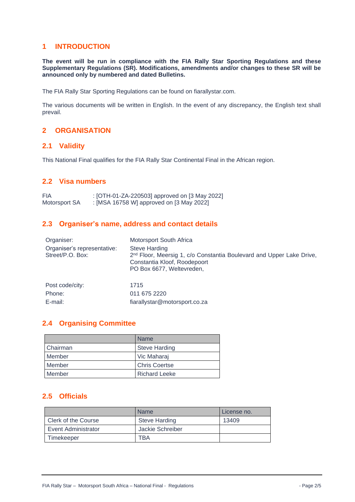#### <span id="page-2-0"></span>**1 INTRODUCTION**

**The event will be run in compliance with the FIA Rally Star Sporting Regulations and these Supplementary Regulations (SR). Modifications, amendments and/or changes to these SR will be announced only by numbered and dated Bulletins.**

The FIA Rally Star Sporting Regulations can be found on fiarallystar.com.

The various documents will be written in English. In the event of any discrepancy, the English text shall prevail.

## <span id="page-2-1"></span>**2 ORGANISATION**

#### <span id="page-2-2"></span>**2.1 Validity**

This National Final qualifies for the FIA Rally Star Continental Final in the African region.

## <span id="page-2-3"></span>**2.2 Visa numbers**

FIA : [OTH-01-ZA-220503] approved on [3 May 2022] Motorsport SA : [MSA 16758 W] approved on [3 May 2022]

## <span id="page-2-4"></span>**2.3 Organiser's name, address and contact details**

| Organiser:                                      | Motorsport South Africa                                                                                                                                               |
|-------------------------------------------------|-----------------------------------------------------------------------------------------------------------------------------------------------------------------------|
| Organiser's representative:<br>Street/P.O. Box: | <b>Steve Harding</b><br>2 <sup>nd</sup> Floor, Meersig 1, c/o Constantia Boulevard and Upper Lake Drive,<br>Constantia Kloof, Roodepoort<br>PO Box 6677, Weltevreden, |
| Post code/city:                                 | 1715                                                                                                                                                                  |
| Phone:                                          | 011 675 2220                                                                                                                                                          |
| E-mail:                                         | fiarallystar@motorsport.co.za                                                                                                                                         |

## <span id="page-2-5"></span>**2.4 Organising Committee**

|            | <b>Name</b>          |
|------------|----------------------|
| l Chairman | <b>Steve Harding</b> |
| Member     | Vic Maharaj          |
| Member     | <b>Chris Coertse</b> |
| Member     | <b>Richard Leeke</b> |

#### <span id="page-2-6"></span>**2.5 Officials**

|                     | <b>Name</b>          | License no. |
|---------------------|----------------------|-------------|
| Clerk of the Course | <b>Steve Harding</b> | 13409       |
| Event Administrator | Jackie Schreiber     |             |
| Timekeeper          | ГВА                  |             |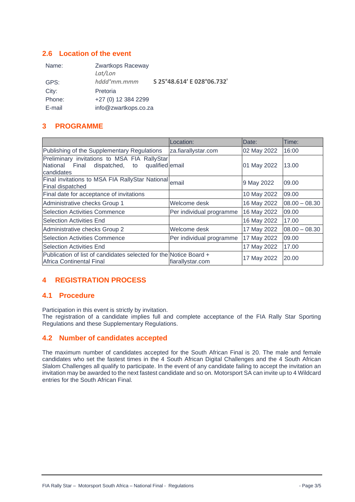#### <span id="page-3-0"></span>**2.6 Location of the event**

| Name:  | Zwartkops Raceway<br>Lat/Lon |                            |
|--------|------------------------------|----------------------------|
| GPS:   | hddd°mm.mmm                  | S 25°48.614' E 028°06.732' |
| City:  | Pretoria                     |                            |
| Phone: | +27 (0) 12 384 2299          |                            |
| E-mail | info@zwartkops.co.za         |                            |

## <span id="page-3-1"></span>**3 PROGRAMME**

|                                                                                                                         | Location:                | Date:       | Time:           |
|-------------------------------------------------------------------------------------------------------------------------|--------------------------|-------------|-----------------|
| Publishing of the Supplementary Regulations                                                                             | za.fiarallystar.com      | 02 May 2022 | 16:00           |
| Preliminary invitations to MSA FIA RallyStar<br>National<br>Final<br>dispatched,<br>qualified email<br>to<br>candidates |                          | 01 May 2022 | 13.00           |
| Final invitations to MSA FIA RallyStar National email<br>Final dispatched                                               |                          | 9 May 2022  | 09.00           |
| Final date for acceptance of invitations                                                                                |                          | 10 May 2022 | 09.00           |
| Administrative checks Group 1                                                                                           | Welcome desk             | 16 May 2022 | $08.00 - 08.30$ |
| <b>Selection Activities Commence</b>                                                                                    | Per individual programme | 16 May 2022 | 09.00           |
| <b>Selection Activities End</b>                                                                                         |                          | 16 May 2022 | 17.00           |
| Administrative checks Group 2                                                                                           | Welcome desk             | 17 May 2022 | $08.00 - 08.30$ |
| <b>Selection Activities Commence</b>                                                                                    | Per individual programme | 17 May 2022 | 09.00           |
| <b>Selection Activities End</b>                                                                                         |                          | 17 May 2022 | 17.00           |
| Publication of list of candidates selected for the Notice Board +<br>Africa Continental Final                           | fiarallystar.com         | 17 May 2022 | 20.00           |

## <span id="page-3-2"></span>**4 REGISTRATION PROCESS**

#### <span id="page-3-3"></span>**4.1 Procedure**

Participation in this event is strictly by invitation.

The registration of a candidate implies full and complete acceptance of the FIA Rally Star Sporting Regulations and these Supplementary Regulations.

#### <span id="page-3-4"></span>**4.2 Number of candidates accepted**

The maximum number of candidates accepted for the South African Final is 20. The male and female candidates who set the fastest times in the 4 South African Digital Challenges and the 4 South African Slalom Challenges all qualify to participate. In the event of any candidate failing to accept the invitation an invitation may be awarded to the next fastest candidate and so on. Motorsport SA can invite up to 4 Wildcard entries for the South African Final.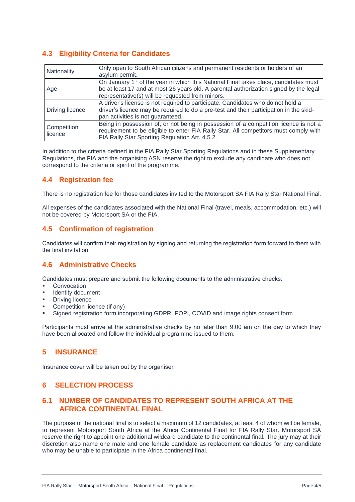## <span id="page-4-0"></span>**4.3 Eligibility Criteria for Candidates**

| Nationality     | Only open to South African citizens and permanent residents or holders of an                     |
|-----------------|--------------------------------------------------------------------------------------------------|
|                 | asylum permit.                                                                                   |
|                 | On January 1 <sup>st</sup> of the year in which this National Final takes place, candidates must |
| Age             | be at least 17 and at most 26 years old. A parental authorization signed by the legal            |
|                 | representative(s) will be requested from minors.                                                 |
|                 | A driver's license is not required to participate. Candidates who do not hold a                  |
| Driving licence | driver's licence may be required to do a pre-test and their participation in the skid-           |
|                 | pan activities is not guaranteed.                                                                |
| Competition     | Being in possession of, or not being in possession of a competition licence is not a             |
|                 | requirement to be eligible to enter FIA Rally Star. All competitors must comply with             |
| licence         | FIA Rally Star Sporting Regulation Art. 4.5.2.                                                   |

In addition to the criteria defined in the FIA Rally Star Sporting Regulations and in these Supplementary Regulations, the FIA and the organising ASN reserve the right to exclude any candidate who does not correspond to the criteria or spirit of the programme.

## <span id="page-4-1"></span>**4.4 Registration fee**

There is no registration fee for those candidates invited to the Motorsport SA FIA Rally Star National Final.

All expenses of the candidates associated with the National Final (travel, meals, accommodation, etc.) will not be covered by Motorsport SA or the FIA.

## <span id="page-4-2"></span>**4.5 Confirmation of registration**

Candidates will confirm their registration by signing and returning the registration form forward to them with the final invitation.

## <span id="page-4-3"></span>**4.6 Administrative Checks**

Candidates must prepare and submit the following documents to the administrative checks:

- Convocation
- Identity document
- **Driving licence**
- Competition licence (if any)
- Signed registration form incorporating GDPR, POPI, COVID and image rights consent form

Participants must arrive at the administrative checks by no later than 9.00 am on the day to which they have been allocated and follow the individual programme issued to them.

## <span id="page-4-4"></span>**5 INSURANCE**

<span id="page-4-5"></span>Insurance cover will be taken out by the organiser.

## **6 SELECTION PROCESS**

#### <span id="page-4-6"></span>**6.1 NUMBER OF CANDIDATES TO REPRESENT SOUTH AFRICA AT THE AFRICA CONTINENTAL FINAL**

The purpose of the national final is to select a maximum of 12 candidates, at least 4 of whom will be female, to represent Motorsport South Africa at the Africa Continental Final for FIA Rally Star. Motorsport SA reserve the right to appoint one additional wildcard candidate to the continental final. The jury may at their discretion also name one male and one female candidate as replacement candidates for any candidate who may be unable to participate in the Africa continental final.